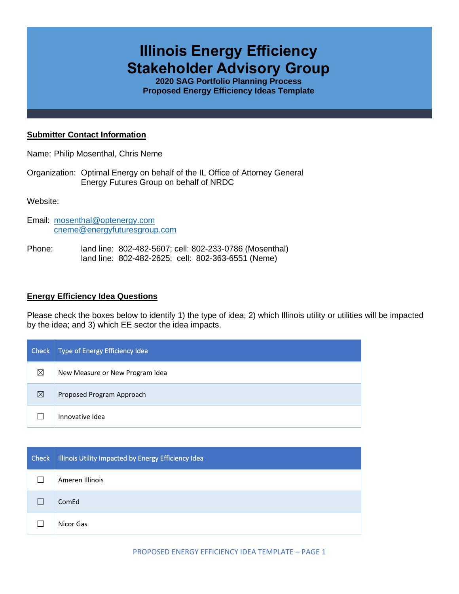# **Illinois Energy Efficiency Stakeholder Advisory Group**

**2020 SAG Portfolio Planning Process Proposed Energy Efficiency Ideas Template**

#### **Submitter Contact Information**

Name: Philip Mosenthal, Chris Neme

Organization: Optimal Energy on behalf of the IL Office of Attorney General Energy Futures Group on behalf of NRDC

Website:

- Email: [mosenthal@optenergy.com](mailto:mosenthal@optenergy.com) [cneme@energyfuturesgroup.com](mailto:cneme@energyfuturesgroup.com)
- Phone: land line: 802-482-5607; cell: 802-233-0786 (Mosenthal) land line: 802-482-2625; cell: 802-363-6551 (Neme)

#### **Energy Efficiency Idea Questions**

Please check the boxes below to identify 1) the type of idea; 2) which Illinois utility or utilities will be impacted by the idea; and 3) which EE sector the idea impacts.

| Check | Type of Energy Efficiency Idea  |
|-------|---------------------------------|
| ⊠     | New Measure or New Program Idea |
| ⊠     | Proposed Program Approach       |
|       | Innovative Idea                 |

| <b>Check</b> | Illinois Utility Impacted by Energy Efficiency Idea |
|--------------|-----------------------------------------------------|
|              | Ameren Illinois                                     |
|              | ComEd                                               |
|              | Nicor Gas                                           |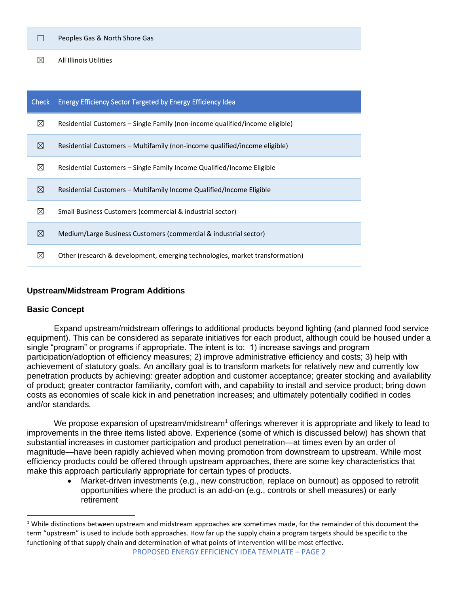|   | Peoples Gas & North Shore Gas |
|---|-------------------------------|
| ⊠ | All Illinois Utilities        |

| <b>Check</b> | <b>Energy Efficiency Sector Targeted by Energy Efficiency Idea</b>           |  |
|--------------|------------------------------------------------------------------------------|--|
| $\boxtimes$  | Residential Customers – Single Family (non-income qualified/income eligible) |  |
| ⊠            | Residential Customers – Multifamily (non-income qualified/income eligible)   |  |
| $\boxtimes$  | Residential Customers – Single Family Income Qualified/Income Eligible       |  |
| ⊠            | Residential Customers – Multifamily Income Qualified/Income Eligible         |  |
| ⊠            | Small Business Customers (commercial & industrial sector)                    |  |
| ⊠            | Medium/Large Business Customers (commercial & industrial sector)             |  |
| ⊠            | Other (research & development, emerging technologies, market transformation) |  |

## **Upstream/Midstream Program Additions**

## **Basic Concept**

Expand upstream/midstream offerings to additional products beyond lighting (and planned food service equipment). This can be considered as separate initiatives for each product, although could be housed under a single "program" or programs if appropriate. The intent is to: 1) increase savings and program participation/adoption of efficiency measures; 2) improve administrative efficiency and costs; 3) help with achievement of statutory goals. An ancillary goal is to transform markets for relatively new and currently low penetration products by achieving: greater adoption and customer acceptance; greater stocking and availability of product; greater contractor familiarity, comfort with, and capability to install and service product; bring down costs as economies of scale kick in and penetration increases; and ultimately potentially codified in codes and/or standards.

We propose expansion of upstream/midstream<sup>1</sup> offerings wherever it is appropriate and likely to lead to improvements in the three items listed above. Experience (some of which is discussed below) has shown that substantial increases in customer participation and product penetration—at times even by an order of magnitude—have been rapidly achieved when moving promotion from downstream to upstream. While most efficiency products could be offered through upstream approaches, there are some key characteristics that make this approach particularly appropriate for certain types of products.

• Market-driven investments (e.g., new construction, replace on burnout) as opposed to retrofit opportunities where the product is an add-on (e.g., controls or shell measures) or early retirement

 $1$  While distinctions between upstream and midstream approaches are sometimes made, for the remainder of this document the term "upstream" is used to include both approaches. How far up the supply chain a program targets should be specific to the functioning of that supply chain and determination of what points of intervention will be most effective.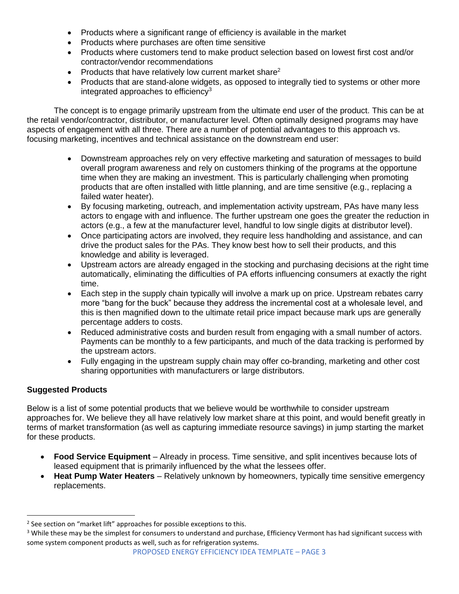- Products where a significant range of efficiency is available in the market
- Products where purchases are often time sensitive
- Products where customers tend to make product selection based on lowest first cost and/or contractor/vendor recommendations
- Products that have relatively low current market share<sup>2</sup>
- Products that are stand-alone widgets, as opposed to integrally tied to systems or other more integrated approaches to efficiency<sup>3</sup>

The concept is to engage primarily upstream from the ultimate end user of the product. This can be at the retail vendor/contractor, distributor, or manufacturer level. Often optimally designed programs may have aspects of engagement with all three. There are a number of potential advantages to this approach vs. focusing marketing, incentives and technical assistance on the downstream end user:

- Downstream approaches rely on very effective marketing and saturation of messages to build overall program awareness and rely on customers thinking of the programs at the opportune time when they are making an investment. This is particularly challenging when promoting products that are often installed with little planning, and are time sensitive (e.g., replacing a failed water heater).
- By focusing marketing, outreach, and implementation activity upstream, PAs have many less actors to engage with and influence. The further upstream one goes the greater the reduction in actors (e.g., a few at the manufacturer level, handful to low single digits at distributor level).
- Once participating actors are involved, they require less handholding and assistance, and can drive the product sales for the PAs. They know best how to sell their products, and this knowledge and ability is leveraged.
- Upstream actors are already engaged in the stocking and purchasing decisions at the right time automatically, eliminating the difficulties of PA efforts influencing consumers at exactly the right time.
- Each step in the supply chain typically will involve a mark up on price. Upstream rebates carry more "bang for the buck" because they address the incremental cost at a wholesale level, and this is then magnified down to the ultimate retail price impact because mark ups are generally percentage adders to costs.
- Reduced administrative costs and burden result from engaging with a small number of actors. Payments can be monthly to a few participants, and much of the data tracking is performed by the upstream actors.
- Fully engaging in the upstream supply chain may offer co-branding, marketing and other cost sharing opportunities with manufacturers or large distributors.

# **Suggested Products**

Below is a list of some potential products that we believe would be worthwhile to consider upstream approaches for. We believe they all have relatively low market share at this point, and would benefit greatly in terms of market transformation (as well as capturing immediate resource savings) in jump starting the market for these products.

- **Food Service Equipment** Already in process. Time sensitive, and split incentives because lots of leased equipment that is primarily influenced by the what the lessees offer.
- **Heat Pump Water Heaters** Relatively unknown by homeowners, typically time sensitive emergency replacements.

 $2$  See section on "market lift" approaches for possible exceptions to this.

<sup>&</sup>lt;sup>3</sup> While these may be the simplest for consumers to understand and purchase, Efficiency Vermont has had significant success with some system component products as well, such as for refrigeration systems.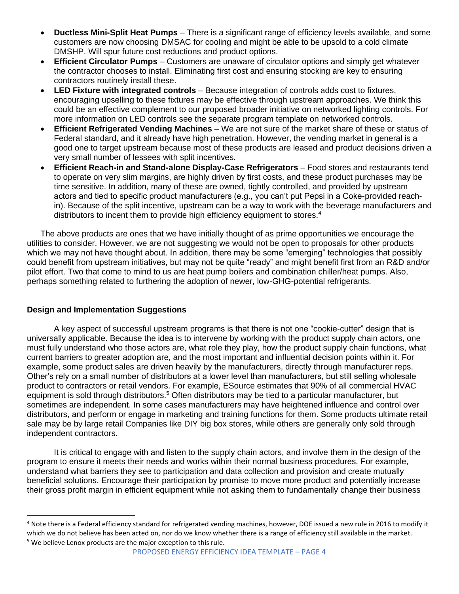- **Ductless Mini-Split Heat Pumps** There is a significant range of efficiency levels available, and some customers are now choosing DMSAC for cooling and might be able to be upsold to a cold climate DMSHP. Will spur future cost reductions and product options.
- **Efficient Circulator Pumps** Customers are unaware of circulator options and simply get whatever the contractor chooses to install. Eliminating first cost and ensuring stocking are key to ensuring contractors routinely install these.
- **LED Fixture with integrated controls** Because integration of controls adds cost to fixtures, encouraging upselling to these fixtures may be effective through upstream approaches. We think this could be an effective complement to our proposed broader initiative on networked lighting controls. For more information on LED controls see the separate program template on networked controls.
- **Efficient Refrigerated Vending Machines** We are not sure of the market share of these or status of Federal standard, and it already have high penetration. However, the vending market in general is a good one to target upstream because most of these products are leased and product decisions driven a very small number of lessees with split incentives.
- **Efficient Reach-in and Stand-alone Display-Case Refrigerators** Food stores and restaurants tend to operate on very slim margins, are highly driven by first costs, and these product purchases may be time sensitive. In addition, many of these are owned, tightly controlled, and provided by upstream actors and tied to specific product manufacturers (e.g., you can't put Pepsi in a Coke-provided reachin). Because of the split incentive, upstream can be a way to work with the beverage manufacturers and distributors to incent them to provide high efficiency equipment to stores.<sup>4</sup>

The above products are ones that we have initially thought of as prime opportunities we encourage the utilities to consider. However, we are not suggesting we would not be open to proposals for other products which we may not have thought about. In addition, there may be some "emerging" technologies that possibly could benefit from upstream initiatives, but may not be quite "ready" and might benefit first from an R&D and/or pilot effort. Two that come to mind to us are heat pump boilers and combination chiller/heat pumps. Also, perhaps something related to furthering the adoption of newer, low-GHG-potential refrigerants.

## **Design and Implementation Suggestions**

A key aspect of successful upstream programs is that there is not one "cookie-cutter" design that is universally applicable. Because the idea is to intervene by working with the product supply chain actors, one must fully understand who those actors are, what role they play, how the product supply chain functions, what current barriers to greater adoption are, and the most important and influential decision points within it. For example, some product sales are driven heavily by the manufacturers, directly through manufacturer reps. Other's rely on a small number of distributors at a lower level than manufacturers, but still selling wholesale product to contractors or retail vendors. For example, ESource estimates that 90% of all commercial HVAC equipment is sold through distributors.<sup>5</sup> Often distributors may be tied to a particular manufacturer, but sometimes are independent. In some cases manufacturers may have heightened influence and control over distributors, and perform or engage in marketing and training functions for them. Some products ultimate retail sale may be by large retail Companies like DIY big box stores, while others are generally only sold through independent contractors.

It is critical to engage with and listen to the supply chain actors, and involve them in the design of the program to ensure it meets their needs and works within their normal business procedures. For example, understand what barriers they see to participation and data collection and provision and create mutually beneficial solutions. Encourage their participation by promise to move more product and potentially increase their gross profit margin in efficient equipment while not asking them to fundamentally change their business

<sup>&</sup>lt;sup>4</sup> Note there is a Federal efficiency standard for refrigerated vending machines, however, DOE issued a new rule in 2016 to modify it which we do not believe has been acted on, nor do we know whether there is a range of efficiency still available in the market. <sup>5</sup> We believe Lenox products are the major exception to this rule.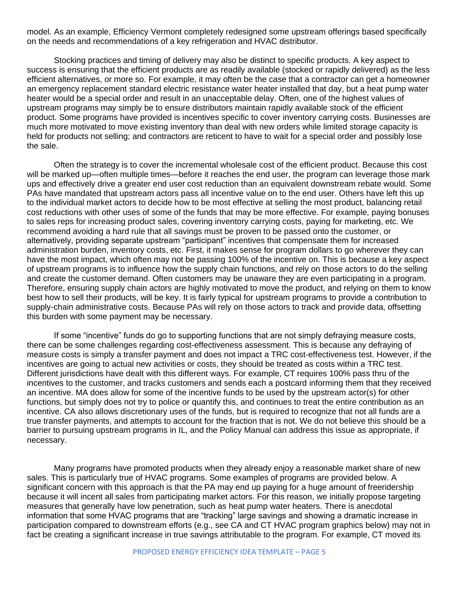model. As an example, Efficiency Vermont completely redesigned some upstream offerings based specifically on the needs and recommendations of a key refrigeration and HVAC distributor.

Stocking practices and timing of delivery may also be distinct to specific products. A key aspect to success is ensuring that the efficient products are as readily available (stocked or rapidly delivered) as the less efficient alternatives, or more so. For example, it may often be the case that a contractor can get a homeowner an emergency replacement standard electric resistance water heater installed that day, but a heat pump water heater would be a special order and result in an unacceptable delay. Often, one of the highest values of upstream programs may simply be to ensure distributors maintain rapidly available stock of the efficient product. Some programs have provided is incentives specific to cover inventory carrying costs. Businesses are much more motivated to move existing inventory than deal with new orders while limited storage capacity is held for products not selling; and contractors are reticent to have to wait for a special order and possibly lose the sale.

Often the strategy is to cover the incremental wholesale cost of the efficient product. Because this cost will be marked up—often multiple times—before it reaches the end user, the program can leverage those mark ups and effectively drive a greater end user cost reduction than an equivalent downstream rebate would. Some PAs have mandated that upstream actors pass all incentive value on to the end user. Others have left this up to the individual market actors to decide how to be most effective at selling the most product, balancing retail cost reductions with other uses of some of the funds that may be more effective. For example, paying bonuses to sales reps for increasing product sales, covering inventory carrying costs, paying for marketing, etc. We recommend avoiding a hard rule that all savings must be proven to be passed onto the customer, or alternatively, providing separate upstream "participant" incentives that compensate them for increased administration burden, inventory costs, etc. First, it makes sense for program dollars to go wherever they can have the most impact, which often may not be passing 100% of the incentive on. This is because a key aspect of upstream programs is to influence how the supply chain functions, and rely on those actors to do the selling and create the customer demand. Often customers may be unaware they are even participating in a program. Therefore, ensuring supply chain actors are highly motivated to move the product, and relying on them to know best how to sell their products, will be key. It is fairly typical for upstream programs to provide a contribution to supply-chain administrative costs. Because PAs will rely on those actors to track and provide data, offsetting this burden with some payment may be necessary.

If some "incentive" funds do go to supporting functions that are not simply defraying measure costs, there can be some challenges regarding cost-effectiveness assessment. This is because any defraying of measure costs is simply a transfer payment and does not impact a TRC cost-effectiveness test. However, if the incentives are going to actual new activities or costs, they should be treated as costs within a TRC test. Different jurisdictions have dealt with this different ways. For example, CT requires 100% pass thru of the incentives to the customer, and tracks customers and sends each a postcard informing them that they received an incentive. MA does allow for some of the incentive funds to be used by the upstream actor(s) for other functions, but simply does not try to police or quantify this, and continues to treat the entire contribution as an incentive. CA also allows discretionary uses of the funds, but is required to recognize that not all funds are a true transfer payments, and attempts to account for the fraction that is not. We do not believe this should be a barrier to pursuing upstream programs in IL, and the Policy Manual can address this issue as appropriate, if necessary.

Many programs have promoted products when they already enjoy a reasonable market share of new sales. This is particularly true of HVAC programs. Some examples of programs are provided below. A significant concern with this approach is that the PA may end up paying for a huge amount of freeridership because it will incent all sales from participating market actors. For this reason, we initially propose targeting measures that generally have low penetration, such as heat pump water heaters. There is anecdotal information that some HVAC programs that are "tracking" large savings and showing a dramatic increase in participation compared to downstream efforts (e.g., see CA and CT HVAC program graphics below) may not in fact be creating a significant increase in true savings attributable to the program. For example, CT moved its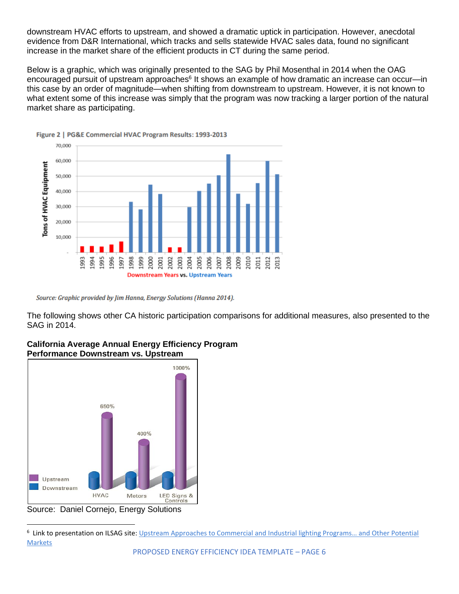downstream HVAC efforts to upstream, and showed a dramatic uptick in participation. However, anecdotal evidence from D&R International, which tracks and sells statewide HVAC sales data, found no significant increase in the market share of the efficient products in CT during the same period.

Below is a graphic, which was originally presented to the SAG by Phil Mosenthal in 2014 when the OAG encouraged pursuit of upstream approaches<sup>6</sup> It shows an example of how dramatic an increase can occur—in this case by an order of magnitude—when shifting from downstream to upstream. However, it is not known to what extent some of this increase was simply that the program was now tracking a larger portion of the natural market share as participating.





Source: Graphic provided by Jim Hanna, Energy Solutions (Hanna 2014).

The following shows other CA historic participation comparisons for additional measures, also presented to the SAG in 2014.



#### **California Average Annual Energy Efficiency Program Performance Downstream vs. Upstream**

Source: Daniel Cornejo, Energy Solutions

<sup>&</sup>lt;sup>6</sup> Link to presentation on ILSAG site: Upstream Approaches to Commercial and Industrial lighting Programs... and Other Potential **[Markets](https://s3.amazonaws.com/ilsag/Mosenthal-AG-IL-SAG-Upstream-Presentation_March-2013.pdf)**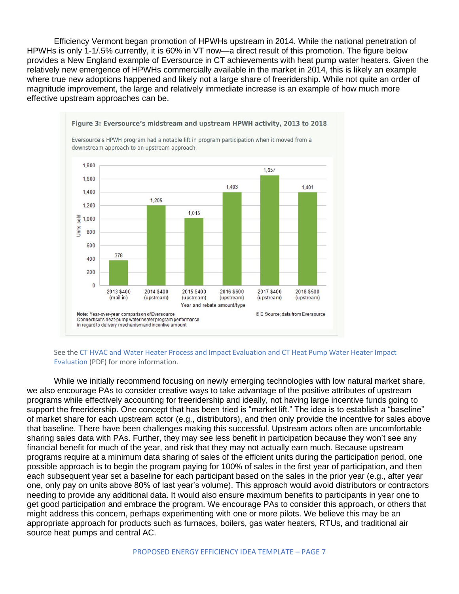Efficiency Vermont began promotion of HPWHs upstream in 2014. While the national penetration of HPWHs is only 1-1/.5% currently, it is 60% in VT now—a direct result of this promotion. The figure below provides a New England example of Eversource in CT achievements with heat pump water heaters. Given the relatively new emergence of HPWHs commercially available in the market in 2014, this is likely an example where true new adoptions happened and likely not a large share of freeridership. While not quite an order of magnitude improvement, the large and relatively immediate increase is an example of how much more effective upstream approaches can be.



See the CT HVAC and Water Heater Process and Impact Evaluation and CT Heat Pump Water Heater Impact Evaluation (PDF) for more information.

While we initially recommend focusing on newly emerging technologies with low natural market share, we also encourage PAs to consider creative ways to take advantage of the positive attributes of upstream programs while effectively accounting for freeridership and ideally, not having large incentive funds going to support the freeridership. One concept that has been tried is "market lift." The idea is to establish a "baseline" of market share for each upstream actor (e.g., distributors), and then only provide the incentive for sales above that baseline. There have been challenges making this successful. Upstream actors often are uncomfortable sharing sales data with PAs. Further, they may see less benefit in participation because they won't see any financial benefit for much of the year, and risk that they may not actually earn much. Because upstream programs require at a minimum data sharing of sales of the efficient units during the participation period, one possible approach is to begin the program paying for 100% of sales in the first year of participation, and then each subsequent year set a baseline for each participant based on the sales in the prior year (e.g., after year one, only pay on units above 80% of last year's volume). This approach would avoid distributors or contractors needing to provide any additional data. It would also ensure maximum benefits to participants in year one to get good participation and embrace the program. We encourage PAs to consider this approach, or others that might address this concern, perhaps experimenting with one or more pilots. We believe this may be an appropriate approach for products such as furnaces, boilers, gas water heaters, RTUs, and traditional air source heat pumps and central AC.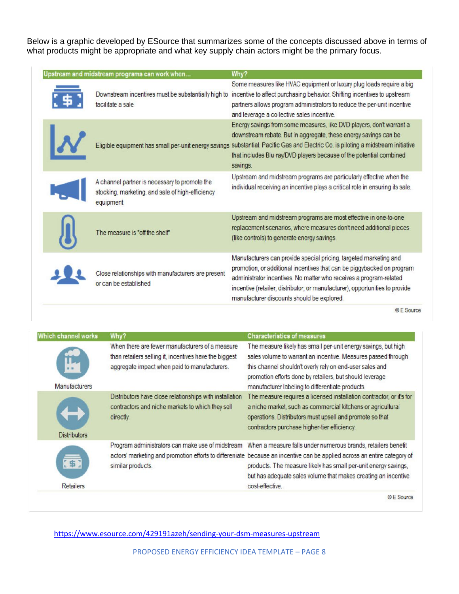Below is a graphic developed by ESource that summarizes some of the concepts discussed above in terms of what products might be appropriate and what key supply chain actors might be the primary focus.

| Upstream and midstream programs can work when                                                                  | Why?                                                                                                                                                                                                                                                                                                                                            |
|----------------------------------------------------------------------------------------------------------------|-------------------------------------------------------------------------------------------------------------------------------------------------------------------------------------------------------------------------------------------------------------------------------------------------------------------------------------------------|
| Downstream incentives must be substantially high to<br>facilitate a sale                                       | Some measures like HVAC equipment or luxury plug loads require a big<br>incentive to affect purchasing behavior. Shifting incentives to upstream<br>partners allows program administrators to reduce the per-unit incentive<br>and leverage a collective sales incentive.                                                                       |
| Eligible equipment has small per-unit energy savings                                                           | Energy savings from some measures, like DVD players, don't warrant a<br>downstream rebate. But in aggregate, these energy savings can be<br>substantial. Pacific Gas and Electric Co. is piloting a midstream initiative<br>that includes Blu-ray/DVD players because of the potential combined<br>savings.                                     |
| A channel partner is necessary to promote the<br>stocking, marketing, and sale of high-efficiency<br>equipment | Upstream and midstream programs are particularly effective when the<br>individual receiving an incentive plays a critical role in ensuring its sale.                                                                                                                                                                                            |
| The measure is "off the shelf"                                                                                 | Upstream and midstream programs are most effective in one-to-one<br>replacement scenarios, where measures don't need additional pieces<br>(like controls) to generate energy savings.                                                                                                                                                           |
| Close relationships with manufacturers are present<br>or can be established.                                   | Manufacturers can provide special pricing, targeted marketing and<br>promotion, or additional incentives that can be piggybacked on program<br>administrator incentives. No matter who receives a program-related<br>incentive (retailer, distributor, or manufacturer), opportunities to provide<br>manufacturer discounts should be explored. |

© E Source

| Which channel works      | Why?                                                                                                                                                      | <b>Characteristics of measures</b>                                                                                                                                                                                                                                                                                                                                                                 |
|--------------------------|-----------------------------------------------------------------------------------------------------------------------------------------------------------|----------------------------------------------------------------------------------------------------------------------------------------------------------------------------------------------------------------------------------------------------------------------------------------------------------------------------------------------------------------------------------------------------|
| <b>Manufacturers</b>     | When there are fewer manufacturers of a measure<br>than retailers selling it, incentives have the biggest<br>aggregate impact when paid to manufacturers. | The measure likely has small per-unit energy savings, but high<br>sales volume to warrant an incentive. Measures passed through<br>this channel shouldn't overly rely on end-user sales and<br>promotion efforts done by retailers, but should leverage<br>manufacturer labeling to differentiate products.                                                                                        |
| <b>Distributors</b>      | Distributors have close relationships with installation<br>contractors and niche markets to which they sell<br>directly.                                  | The measure requires a licensed installation contractor, or it's for<br>a niche market, such as commercial kitchens or agricultural<br>operations. Distributors must upsell and promote so that<br>contractors purchase higher-tier efficiency.                                                                                                                                                    |
| [\$]<br><b>Retailers</b> | similar products.                                                                                                                                         | Program administrators can make use of midstream When a measure falls under numerous brands, retailers benefit<br>actors' marketing and promotion efforts to differeniate because an incentive can be applied across an entire category of<br>products. The measure likely has small per-unit energy savings,<br>but has adequate sales volume that makes creating an incentive<br>cost-effective. |
|                          |                                                                                                                                                           | © E Source                                                                                                                                                                                                                                                                                                                                                                                         |

<https://www.esource.com/429191azeh/sending-your-dsm-measures-upstream>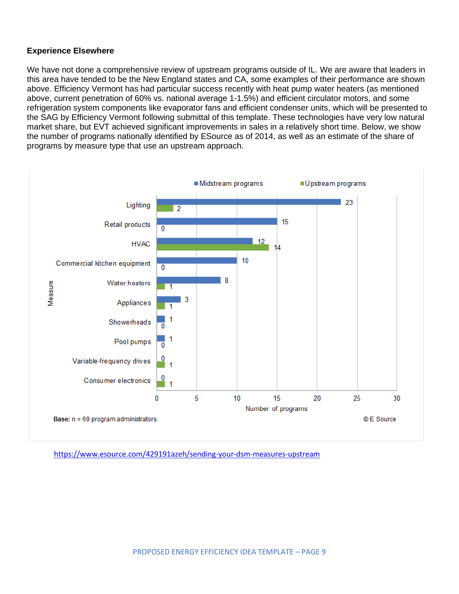## **Experience Elsewhere**

We have not done a comprehensive review of upstream programs outside of IL. We are aware that leaders in this area have tended to be the New England states and CA, some examples of their performance are shown above. Efficiency Vermont has had particular success recently with heat pump water heaters (as mentioned above, current penetration of 60% vs. national average 1-1.5%) and efficient circulator motors, and some refrigeration system components like evaporator fans and efficient condenser units, which will be presented to the SAG by Efficiency Vermont following submittal of this template. These technologies have very low natural market share, but EVT achieved significant improvements in sales in a relatively short time. Below, we show the number of programs nationally identified by ESource as of 2014, as well as an estimate of the share of programs by measure type that use an upstream approach.



<https://www.esource.com/429191azeh/sending-your-dsm-measures-upstream>